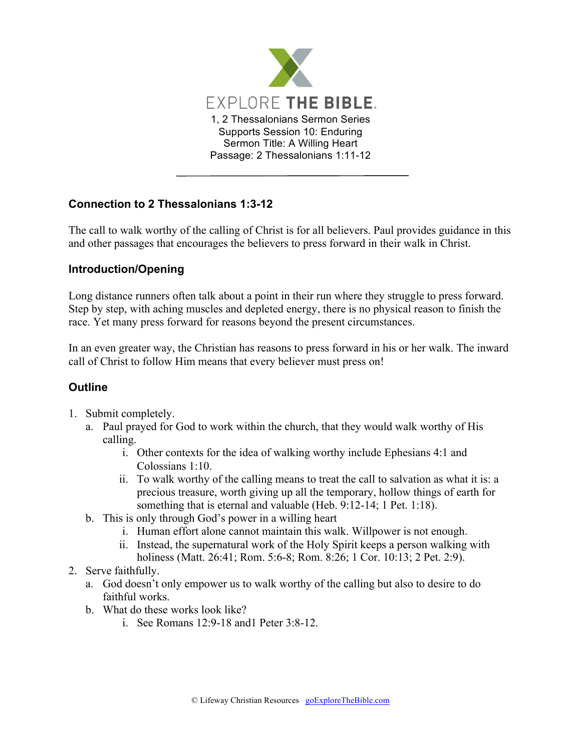

## **Connection to 2 Thessalonians 1:3-12**

The call to walk worthy of the calling of Christ is for all believers. Paul provides guidance in this and other passages that encourages the believers to press forward in their walk in Christ.

## **Introduction/Opening**

Long distance runners often talk about a point in their run where they struggle to press forward. Step by step, with aching muscles and depleted energy, there is no physical reason to finish the race. Yet many press forward for reasons beyond the present circumstances.

In an even greater way, the Christian has reasons to press forward in his or her walk. The inward call of Christ to follow Him means that every believer must press on!

## **Outline**

- 1. Submit completely.
	- a. Paul prayed for God to work within the church, that they would walk worthy of His calling.
		- i. Other contexts for the idea of walking worthy include Ephesians 4:1 and Colossians 1:10.
		- ii. To walk worthy of the calling means to treat the call to salvation as what it is: a precious treasure, worth giving up all the temporary, hollow things of earth for something that is eternal and valuable (Heb. 9:12-14; 1 Pet. 1:18).
	- b. This is only through God's power in a willing heart
		- i. Human effort alone cannot maintain this walk. Willpower is not enough.
		- ii. Instead, the supernatural work of the Holy Spirit keeps a person walking with holiness (Matt. 26:41; Rom. 5:6-8; Rom. 8:26; 1 Cor. 10:13; 2 Pet. 2:9).
- 2. Serve faithfully.
	- a. God doesn't only empower us to walk worthy of the calling but also to desire to do faithful works.
	- b. What do these works look like?
		- i. See Romans 12:9-18 and1 Peter 3:8-12.